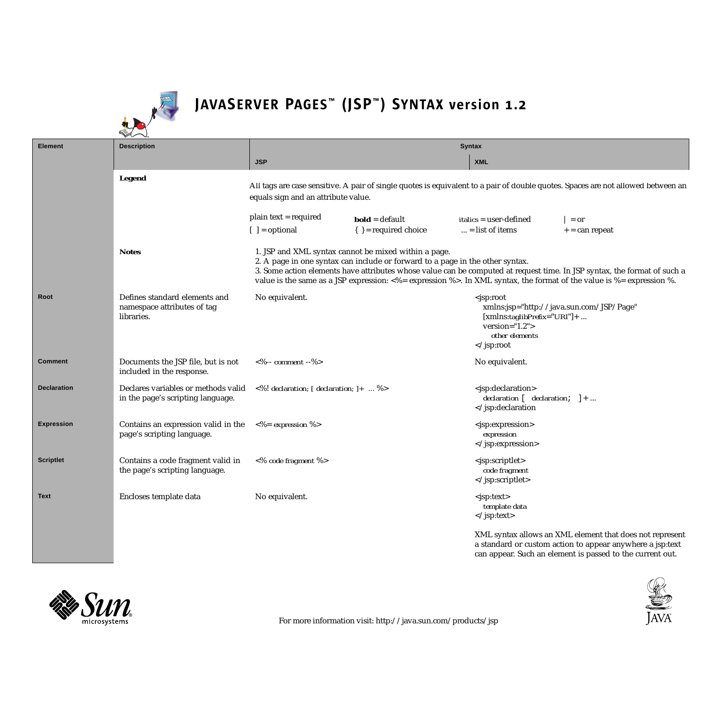

|                    | $\blacktriangledown$                                                       |                                                                                                                                                                                                                                                                                                                                                                                           |                           |                                                                                                                                                                               |                                                          |
|--------------------|----------------------------------------------------------------------------|-------------------------------------------------------------------------------------------------------------------------------------------------------------------------------------------------------------------------------------------------------------------------------------------------------------------------------------------------------------------------------------------|---------------------------|-------------------------------------------------------------------------------------------------------------------------------------------------------------------------------|----------------------------------------------------------|
| <b>Element</b>     | <b>Description</b>                                                         | <b>Syntax</b>                                                                                                                                                                                                                                                                                                                                                                             |                           |                                                                                                                                                                               |                                                          |
|                    |                                                                            | <b>JSP</b>                                                                                                                                                                                                                                                                                                                                                                                |                           | <b>XML</b>                                                                                                                                                                    |                                                          |
|                    | Legend                                                                     | All tags are case sensitive. A pair of single quotes is equivalent to a pair of double quotes. Spaces are not allowed between an<br>equals sign and an attribute value.                                                                                                                                                                                                                   |                           |                                                                                                                                                                               |                                                          |
|                    |                                                                            | plain text = required                                                                                                                                                                                                                                                                                                                                                                     | $bold = default$          | <i>italics</i> = user-defined                                                                                                                                                 | $=$ or                                                   |
|                    |                                                                            | $[ ] =$ optional                                                                                                                                                                                                                                                                                                                                                                          | $\{ \}$ = required choice | $\ldots$ = list of items                                                                                                                                                      | $+$ = can repeat                                         |
|                    | <b>Notes</b>                                                               | 1. JSP and XML syntax cannot be mixed within a page.<br>2. A page in one syntax can include or forward to a page in the other syntax.<br>3. Some action elements have attributes whose value can be computed at request time. In JSP syntax, the format of such a<br>value is the same as a JSP expression: <%= expression %>. In XML syntax, the format of the value is %= expression %. |                           |                                                                                                                                                                               |                                                          |
| Root               | Defines standard elements and<br>namespace attributes of tag<br>libraries. | No equivalent.                                                                                                                                                                                                                                                                                                                                                                            |                           | <jsp:root<br><math>[xmlns:taglibPrefix="URI'] + </math><br/>version=<math>"1.2"</math><br/>other elements<br/><td>xmlns:jsp="http://java.sun.com/JSP/Page"</td></jsp:root<br> | xmlns:jsp="http://java.sun.com/JSP/Page"                 |
| Comment            | Documents the JSP file, but is not<br>included in the response.            | $<\!\%$ -- comment -- $\!\%$ >                                                                                                                                                                                                                                                                                                                                                            |                           | No equivalent.                                                                                                                                                                |                                                          |
| <b>Declaration</b> | Declares variables or methods valid<br>in the page's scripting language.   | $\langle 8 \rangle$ ! declaration; [ declaration; ]+  %>                                                                                                                                                                                                                                                                                                                                  |                           | $<$ isp:declaration><br>declaration $[$ declaration; $]+$<br><td></td>                                                                                                        |                                                          |
| <b>Expression</b>  | Contains an expression valid in the<br>page's scripting language.          | $<$ % = expression %>                                                                                                                                                                                                                                                                                                                                                                     |                           | <jsp:expression><br/>expression<br/></jsp:expression>                                                                                                                         |                                                          |
| <b>Scriptlet</b>   | Contains a code fragment valid in<br>the page's scripting language.        | <% code fragment %>                                                                                                                                                                                                                                                                                                                                                                       |                           | <jsp:scriptlet><br/>code fragment<br/></jsp:scriptlet>                                                                                                                        |                                                          |
| <b>Text</b>        | Encloses template data                                                     | No equivalent.                                                                                                                                                                                                                                                                                                                                                                            |                           | $<$ jsp:text><br>template data<br>                                                                                                                                            |                                                          |
|                    |                                                                            |                                                                                                                                                                                                                                                                                                                                                                                           |                           |                                                                                                                                                                               | XML syntax allows an XML element that does not represent |

<sup>a</sup> standard or custom action to appear anywhere <sup>a</sup> jsp:text can appear. Such an element is passed to the current out.



 $\overline{\phantom{a}}$ 

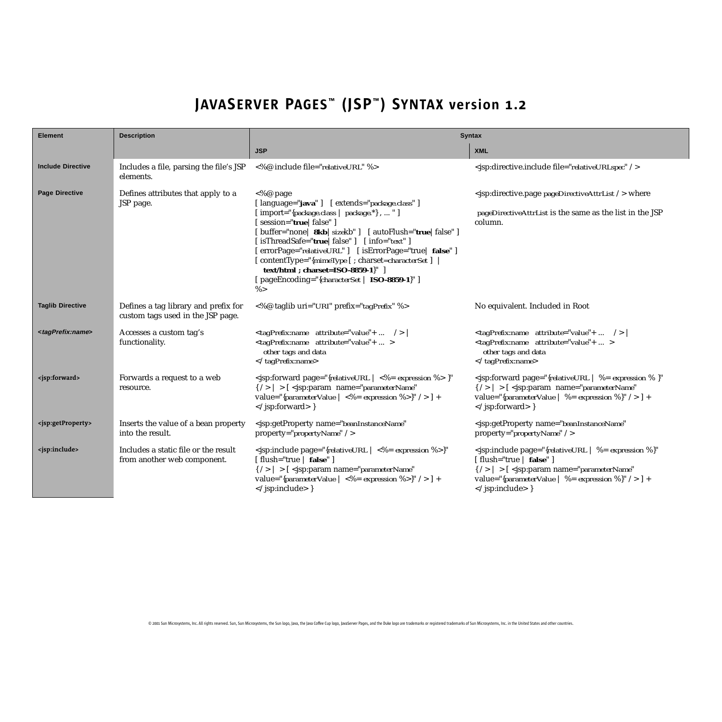| <b>Element</b>                      | <b>Description</b>                                                        | <b>Syntax</b>                                                                                                                                                                                                                                                                                                                                                                                                                                                                         |                                                                                                                                                                                                                                               |  |
|-------------------------------------|---------------------------------------------------------------------------|---------------------------------------------------------------------------------------------------------------------------------------------------------------------------------------------------------------------------------------------------------------------------------------------------------------------------------------------------------------------------------------------------------------------------------------------------------------------------------------|-----------------------------------------------------------------------------------------------------------------------------------------------------------------------------------------------------------------------------------------------|--|
|                                     |                                                                           | <b>JSP</b>                                                                                                                                                                                                                                                                                                                                                                                                                                                                            | <b>XML</b>                                                                                                                                                                                                                                    |  |
| <b>Include Directive</b>            | Includes a file, parsing the file's JSP<br>elements.                      | <%@ include file="relativeURL" %>                                                                                                                                                                                                                                                                                                                                                                                                                                                     | <jsp:directive.include file="relativeURLspec"></jsp:directive.include>                                                                                                                                                                        |  |
| <b>Page Directive</b>               | Defines attributes that apply to a<br>JSP page.                           | $<$ %@ page<br>[language="java"] [extends="package.class"]<br>[ import="{package.class   package.*},  " ]<br>[session="true   false" ]<br>[buffer="none   8kb   sizekb" ] [ autoFlush="true   false" ]<br>[ isThreadSafe=" <b>true</b>   false" ] [ info=" <i>text</i> " ]<br>[errorPage="relativeURL"] [isErrorPage="true   false"]<br>[contentType="{mimeType [; charset=characterSet ]<br>text/html; charset=ISO-8859-1}" ]<br>[pageEncoding="{characterSet   ISO-8859-1}"]<br>% > | <jsp:directive.page pagedirectiveattrlist=""></jsp:directive.page> where<br>pageDirectiveAttrList is the same as the list in the JSP<br>column.                                                                                               |  |
| <b>Taglib Directive</b>             | Defines a tag library and prefix for<br>custom tags used in the JSP page. | <%@ taglib uri="URI" prefix="tagPrefix" %>                                                                                                                                                                                                                                                                                                                                                                                                                                            | No equivalent. Included in Root                                                                                                                                                                                                               |  |
| <tagprefix:name></tagprefix:name>   | Accesses a custom tag's<br>functionality.                                 | <tagprefix:name +="" attribute="value"></tagprefix:name>  <br><tagprefix:name +="" attribute="value"><br/>other tags and data<br/></tagprefix:name>                                                                                                                                                                                                                                                                                                                                   | <tagprefix:name +="" attribute="value"></tagprefix:name><br><tagprefix:name +="" attribute="value"><br/>other tags and data<br/></tagprefix:name>                                                                                             |  |
| <jsp:forward></jsp:forward>         | Forwards a request to a web<br>resource.                                  | $\langle$ isp:forward page="{relativeURL   $\langle\%$ = expression %> }"<br>$\{\ / \rangle \   \ > [ \ < jsp:param$ name="parameterName"<br>value="{parameterValue   <%= expression %>}" /> ] +<br>$\langle$ /jsp:forward> }                                                                                                                                                                                                                                                         | $\langle$ isp:forward page="{relativeURL   %= expression % }"<br>$\{ / \rangle \} > [ <]$ sp:param name="parameterName"<br>value="{parameterValue   %= expression %}" /> ] +<br>$\langle$ /jsp:forward>}                                      |  |
| <jsp:getproperty></jsp:getproperty> | Inserts the value of a bean property<br>into the result.                  | <jsp:getproperty <br="" name="beanInstanceName">property="propertyName" /&gt;</jsp:getproperty>                                                                                                                                                                                                                                                                                                                                                                                       | <jsp:getproperty <br="" name="beanInstanceName">property="propertyName" /&gt;</jsp:getproperty>                                                                                                                                               |  |
| <jsp:include></jsp:include>         | Includes a static file or the result<br>from another web component.       | <jsp:include <br="" page="{relativeURL   &lt;%= expression %&gt;}">[flush="true   false"]<br/><math>\{ / \rangle \} &gt; [ &lt;]</math>sp:param name="parameterName"<br/>value="{parameterValue   &lt;%= expression %&gt;}" /&gt; ] +<br/></jsp:include> }                                                                                                                                                                                                                            | <jsp:include <br="" page="{relativeURL   %= expression %}">[flush="true   false"]<br/><math>\{ / \rangle \} &gt; [ \langle</math>jsp:param name="parameterName"<br/>value="{parameterValue   %= expression %}" /&gt; ] +<br/></jsp:include> } |  |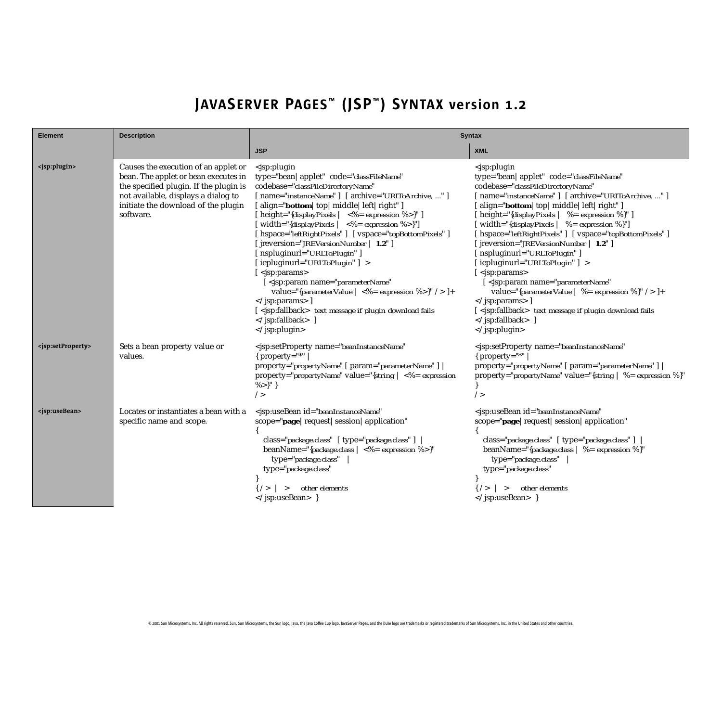| <b>Element</b>                      | <b>Description</b>                                                                                                                                                                                                | <b>Syntax</b>                                                                                                                                                                                                                                                                                                                                                                                                                                                                                                                                                                                                                                                                                                                                                                                                                           |                                                                                                                                                                                                                                                                                                                                                                                                                                                                                                                                                                                                                                                                                                                                      |  |
|-------------------------------------|-------------------------------------------------------------------------------------------------------------------------------------------------------------------------------------------------------------------|-----------------------------------------------------------------------------------------------------------------------------------------------------------------------------------------------------------------------------------------------------------------------------------------------------------------------------------------------------------------------------------------------------------------------------------------------------------------------------------------------------------------------------------------------------------------------------------------------------------------------------------------------------------------------------------------------------------------------------------------------------------------------------------------------------------------------------------------|--------------------------------------------------------------------------------------------------------------------------------------------------------------------------------------------------------------------------------------------------------------------------------------------------------------------------------------------------------------------------------------------------------------------------------------------------------------------------------------------------------------------------------------------------------------------------------------------------------------------------------------------------------------------------------------------------------------------------------------|--|
|                                     |                                                                                                                                                                                                                   | <b>JSP</b>                                                                                                                                                                                                                                                                                                                                                                                                                                                                                                                                                                                                                                                                                                                                                                                                                              | <b>XML</b>                                                                                                                                                                                                                                                                                                                                                                                                                                                                                                                                                                                                                                                                                                                           |  |
| <jsp:plugin></jsp:plugin>           | Causes the execution of an applet or<br>bean. The applet or bean executes in<br>the specified plugin. If the plugin is<br>not available, displays a dialog to<br>initiate the download of the plugin<br>software. | <jsp:plugin<br>type="bean   applet" code="classFileName"<br/>codebase="classFileDirectoryName"<br/>[ name="instanceName" ] [ archive="URIToArchive, " ]<br/>[align="bottom   top   middle   left   right" ]<br/>[ height="{<i>displayPixels</i>   &lt;%= expression %&gt;}" ]<br/>width="{displayPixels   <math>\langle -\% =</math> expression %&gt;}"]<br/>[ hspace="leftRightPixels" ] [ vspace="topBottomPixels" ]<br/>[ jreversion="JREVersionNumber   1.2" ]<br/>[nspluginurl="URLToPlugin"]<br/>[iepluginurl="URLToPlugin"] &gt;<br/>[ <jsp:params><br/><jsp:param <br="" name="parameterName">value="{parameterValue   &lt;%= expression %&gt;}" /&gt; ]+<br/><math>\langle</math>jsp:params&gt;]<br/>[<jsp:fallback> text message if plugin download fails<br/></jsp:fallback> ]<br/></jsp:param></jsp:params></jsp:plugin<br> | <jsp:plugin<br>type="bean   applet" code="classFileName"<br/>codebase="classFileDirectoryName"<br/>[ name="instanceName" ] [ archive="URIToArchive, " ]<br/>[align="bottom   top   middle   left   right" ]<br/>[ height="{displayPixels   %= expression %}" ]<br/>  width="{displayPixels   %= expression %}"]<br/>[ hspace="leftRightPixels" ] [ vspace="topBottomPixels" ]<br/>[ jreversion="JREVersionNumber   1.2" ]<br/>[nspluginurl="URLToPlugin"]<br/>[iepluginurl="URLToPlugin"] &gt;<br/>sp:params&gt;<br/><jsp:param <br="" name="parameterName">value="{parameterValue   %= expression %}" /&gt; ]+<br/>]<br/>[<jsp:fallback> text message if plugin download fails<br/></jsp:fallback><br/></jsp:param></jsp:plugin<br> |  |
| <jsp:setproperty></jsp:setproperty> | Sets a bean property value or<br>values.                                                                                                                                                                          | <jsp:setproperty <br="" name="beanInstanceName"><math>\{</math> property="*"<br/>property="propertyName" [ param="parameterName" ]<br/>property="propertyName" value="{string <math>  \langle \mathcal{L} \rangle = 0</math> expression<br/><math>\%</math>&gt;}" }<br/>/</jsp:setproperty>                                                                                                                                                                                                                                                                                                                                                                                                                                                                                                                                             | <jsp:setproperty <br="" name="beanInstanceName">{ property="*"<br/>property="propertyName" [ param="parameterName" ]<br/>property="propertyName" value="{string   %= expression %}"<br/>/</jsp:setproperty>                                                                                                                                                                                                                                                                                                                                                                                                                                                                                                                          |  |
| <jsp:usebean></jsp:usebean>         | Locates or instantiates a bean with a<br>specific name and scope.                                                                                                                                                 | <jsp:usebean <br="" id="beanInstanceName">scope="page   request   session   application"<br/>class="package.class" [ type="package.class" ]<br/>beanName="{package.class   &lt;%= expression %&gt;}"<br/>type="package.class"<br/>type="package.class"<br/>other elements<br/><math>\{\frac{1}{2} \}</math> &gt;<br/></jsp:usebean> }                                                                                                                                                                                                                                                                                                                                                                                                                                                                                                   | <jsp:usebean <br="" id="beanInstanceName">scope="page   request   session   application"<br/>class="package.class" [ type="package.class" ]<br/>beanName="{package.class   %= expression %}"<br/>type="package.class"<br/>type="package.class"<br/>other elements<br/><math>\{\frac{1}{2} \}</math> &gt;<br/></jsp:usebean> }                                                                                                                                                                                                                                                                                                                                                                                                        |  |